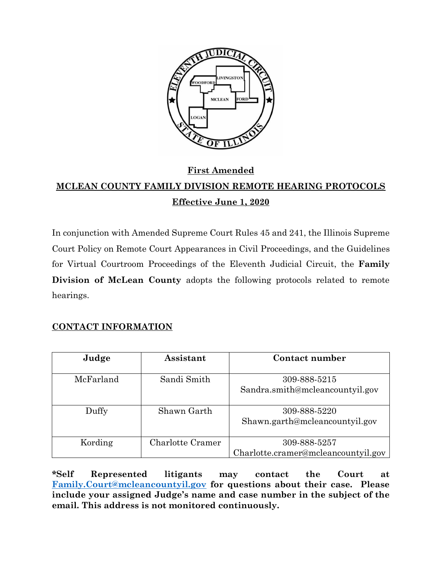

# **First Amended MCLEAN COUNTY FAMILY DIVISION REMOTE HEARING PROTOCOLS Effective June 1, 2020**

In conjunction with Amended Supreme Court Rules 45 and 241, the Illinois Supreme Court Policy on Remote Court Appearances in Civil Proceedings, and the Guidelines for Virtual Courtroom Proceedings of the Eleventh Judicial Circuit, the **Family Division of McLean County** adopts the following protocols related to remote hearings.

## **CONTACT INFORMATION**

| Judge     | Assistant               | Contact number                      |
|-----------|-------------------------|-------------------------------------|
|           |                         |                                     |
| McFarland | Sandi Smith             | 309-888-5215                        |
|           |                         | Sandra.smith@mcleancountyil.gov     |
| Duffy     | Shawn Garth             | 309-888-5220                        |
|           |                         | Shawn.garth@mcleancountyil.gov      |
| Kording   | <b>Charlotte Cramer</b> | 309-888-5257                        |
|           |                         | Charlotte.cramer@mcleancountyil.gov |

**\*Self Represented litigants may contact the Court at [Family.Court@mcleancountyil.gov](mailto:Family.Court@mcleancountyil.gov) for questions about their case. Please include your assigned Judge's name and case number in the subject of the email. This address is not monitored continuously.**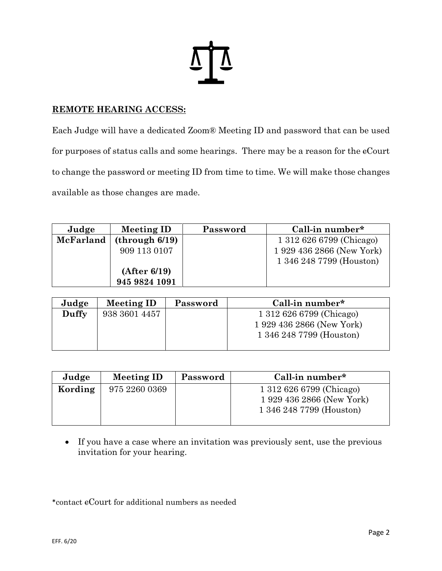

### **REMOTE HEARING ACCESS:**

Each Judge will have a dedicated Zoom® Meeting ID and password that can be used for purposes of status calls and some hearings. There may be a reason for the eCourt to change the password or meeting ID from time to time. We will make those changes available as those changes are made.

| Judge     | <b>Meeting ID</b> | Password | Call-in number*           |
|-----------|-------------------|----------|---------------------------|
| McFarland | (through 6/19)    |          | 1 312 626 6799 (Chicago)  |
|           | 909 113 0107      |          | 1 929 436 2866 (New York) |
|           |                   |          | 1 346 248 7799 (Houston)  |
|           | (After 6/19)      |          |                           |
|           | 945 9824 1091     |          |                           |

| Judge | <b>Meeting ID</b> | Password | Call-in number*           |
|-------|-------------------|----------|---------------------------|
| Duffy | 938 3601 4457     |          | 1 312 626 6799 (Chicago)  |
|       |                   |          | 1 929 436 2866 (New York) |
|       |                   |          | 1 346 248 7799 (Houston)  |
|       |                   |          |                           |

| Judge   | Meeting ID    | Password                  | Call-in number*          |
|---------|---------------|---------------------------|--------------------------|
| Kording | 975 2260 0369 |                           | 1 312 626 6799 (Chicago) |
|         |               | 1 929 436 2866 (New York) |                          |
|         |               |                           | 1 346 248 7799 (Houston) |
|         |               |                           |                          |

• If you have a case where an invitation was previously sent, use the previous invitation for your hearing.

\*contact cCourt for additional numbers as needed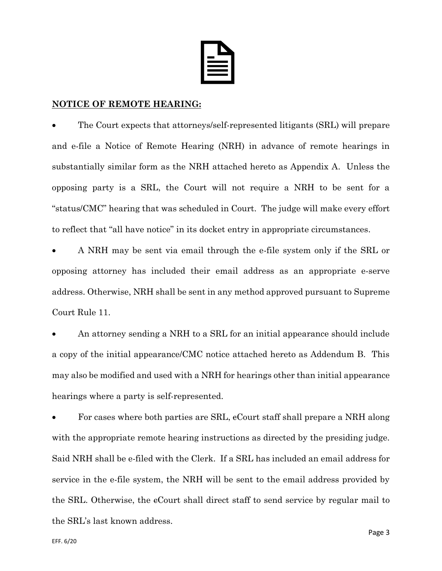

#### **NOTICE OF REMOTE HEARING:**

• The Court expects that attorneys/self-represented litigants (SRL) will prepare and e-file a Notice of Remote Hearing (NRH) in advance of remote hearings in substantially similar form as the NRH attached hereto as Appendix A. Unless the opposing party is a SRL, the Court will not require a NRH to be sent for a "status/CMC" hearing that was scheduled in Court. The judge will make every effort to reflect that "all have notice" in its docket entry in appropriate circumstances.

• A NRH may be sent via email through the e-file system only if the SRL or opposing attorney has included their email address as an appropriate e-serve address. Otherwise, NRH shall be sent in any method approved pursuant to Supreme Court Rule 11.

• An attorney sending a NRH to a SRL for an initial appearance should include a copy of the initial appearance/CMC notice attached hereto as Addendum B. This may also be modified and used with a NRH for hearings other than initial appearance hearings where a party is self-represented.

For cases where both parties are SRL, eCourt staff shall prepare a NRH along with the appropriate remote hearing instructions as directed by the presiding judge. Said NRH shall be e-filed with the Clerk. If a SRL has included an email address for service in the e-file system, the NRH will be sent to the email address provided by the SRL. Otherwise, the cCourt shall direct staff to send service by regular mail to the SRL's last known address.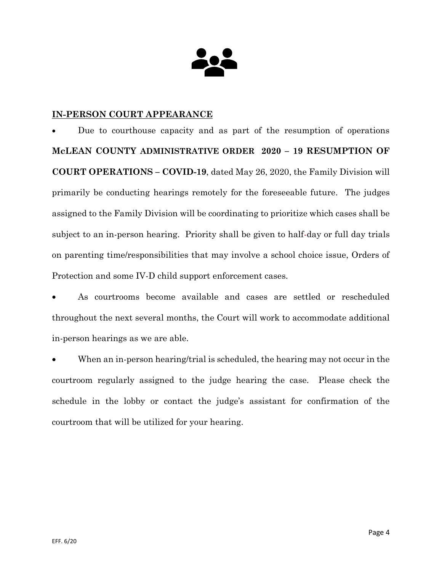

### **IN-PERSON COURT APPEARANCE**

• Due to courthouse capacity and as part of the resumption of operations **McLEAN COUNTY ADMINISTRATIVE ORDER 2020 – 19 RESUMPTION OF COURT OPERATIONS – COVID-19**, dated May 26, 2020, the Family Division will primarily be conducting hearings remotely for the foreseeable future. The judges assigned to the Family Division will be coordinating to prioritize which cases shall be subject to an in-person hearing. Priority shall be given to half-day or full day trials on parenting time/responsibilities that may involve a school choice issue, Orders of Protection and some IV-D child support enforcement cases.

• As courtrooms become available and cases are settled or rescheduled throughout the next several months, the Court will work to accommodate additional in-person hearings as we are able.

• When an in-person hearing/trial is scheduled, the hearing may not occur in the courtroom regularly assigned to the judge hearing the case. Please check the schedule in the lobby or contact the judge's assistant for confirmation of the courtroom that will be utilized for your hearing.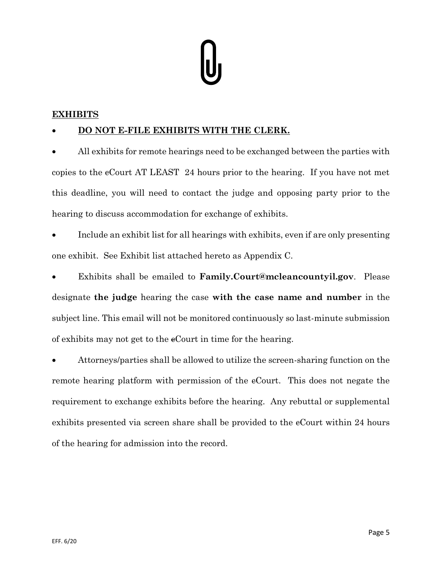## **EXHIBITS**

## • **DO NOT E-FILE EXHIBITS WITH THE CLERK.**

• All exhibits for remote hearings need to be exchanged between the parties with copies to the cCourt AT LEAST 24 hours prior to the hearing. If you have not met this deadline, you will need to contact the judge and opposing party prior to the hearing to discuss accommodation for exchange of exhibits.

• Include an exhibit list for all hearings with exhibits, even if are only presenting one exhibit. See Exhibit list attached hereto as Appendix C.

• Exhibits shall be emailed to **Family.Court@mcleancountyil.gov**. Please designate **the judge** hearing the case **with the case name and number** in the subject line. This email will not be monitored continuously so last-minute submission of exhibits may not get to the cCourt in time for the hearing.

• Attorneys/parties shall be allowed to utilize the screen-sharing function on the remote hearing platform with permission of the eCourt. This does not negate the requirement to exchange exhibits before the hearing. Any rebuttal or supplemental exhibits presented via screen share shall be provided to the eCourt within 24 hours of the hearing for admission into the record.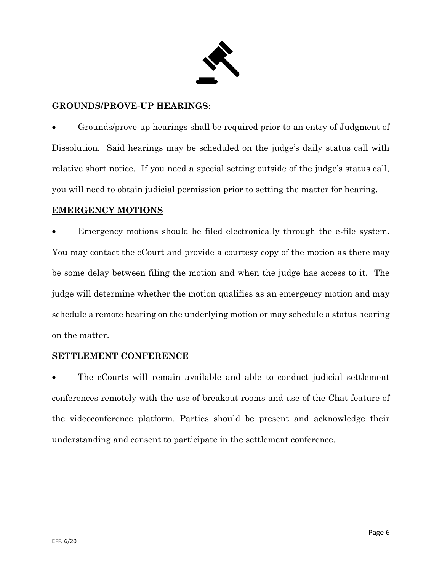

#### **GROUNDS/PROVE-UP HEARINGS**:

• Grounds/prove-up hearings shall be required prior to an entry of Judgment of Dissolution. Said hearings may be scheduled on the judge's daily status call with relative short notice. If you need a special setting outside of the judge's status call, you will need to obtain judicial permission prior to setting the matter for hearing.

#### **EMERGENCY MOTIONS**

Emergency motions should be filed electronically through the e-file system. You may contact the eCourt and provide a courtesy copy of the motion as there may be some delay between filing the motion and when the judge has access to it. The judge will determine whether the motion qualifies as an emergency motion and may schedule a remote hearing on the underlying motion or may schedule a status hearing on the matter.

#### **SETTLEMENT CONFERENCE**

The eCourts will remain available and able to conduct judicial settlement conferences remotely with the use of breakout rooms and use of the Chat feature of the videoconference platform. Parties should be present and acknowledge their understanding and consent to participate in the settlement conference.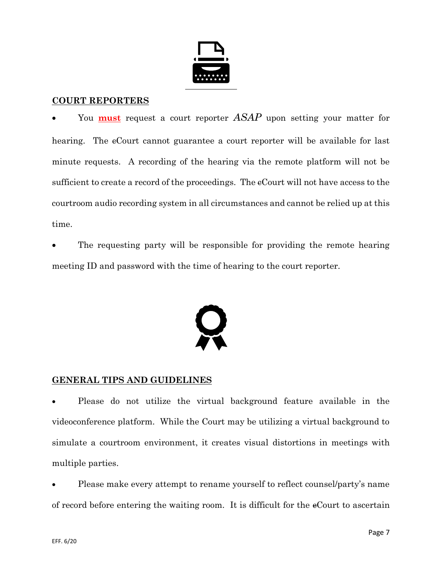

#### **COURT REPORTERS**

• You **must** request a court reporter *ASAP* upon setting your matter for hearing. The eCourt cannot guarantee a court reporter will be available for last minute requests. A recording of the hearing via the remote platform will not be sufficient to create a record of the proceedings. The eCourt will not have access to the courtroom audio recording system in all circumstances and cannot be relied up at this time.

The requesting party will be responsible for providing the remote hearing meeting ID and password with the time of hearing to the court reporter.



#### **GENERAL TIPS AND GUIDELINES**

• Please do not utilize the virtual background feature available in the videoconference platform. While the Court may be utilizing a virtual background to simulate a courtroom environment, it creates visual distortions in meetings with multiple parties.

• Please make every attempt to rename yourself to reflect counsel/party's name of record before entering the waiting room. It is difficult for the cCourt to ascertain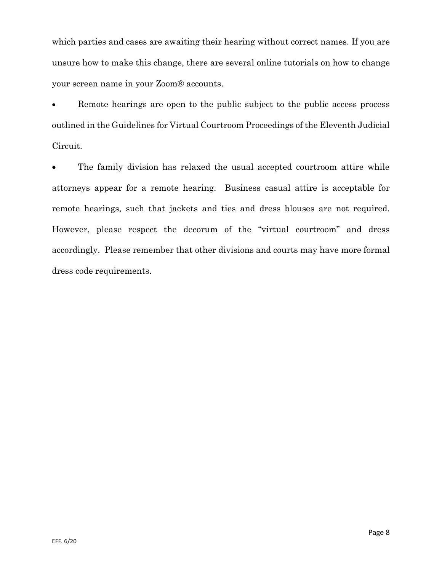which parties and cases are awaiting their hearing without correct names. If you are unsure how to make this change, there are several online tutorials on how to change your screen name in your Zoom® accounts.

Remote hearings are open to the public subject to the public access process outlined in the Guidelines for Virtual Courtroom Proceedings of the Eleventh Judicial Circuit.

• The family division has relaxed the usual accepted courtroom attire while attorneys appear for a remote hearing. Business casual attire is acceptable for remote hearings, such that jackets and ties and dress blouses are not required. However, please respect the decorum of the "virtual courtroom" and dress accordingly. Please remember that other divisions and courts may have more formal dress code requirements.

Page 8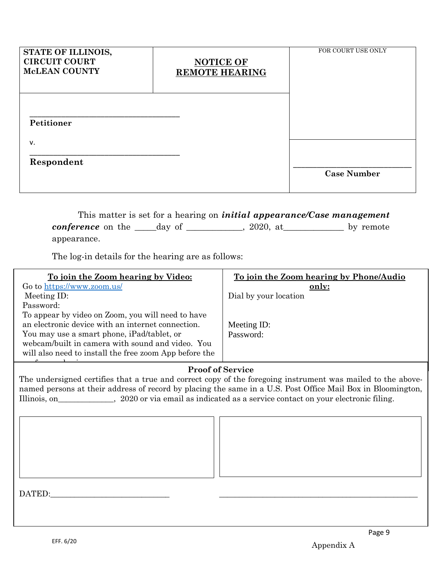| STATE OF ILLINOIS,<br><b>CIRCUIT COURT</b><br><b>McLEAN COUNTY</b> | <b>NOTICE OF</b><br><b>REMOTE HEARING</b> | FOR COURT USE ONLY |
|--------------------------------------------------------------------|-------------------------------------------|--------------------|
| Petitioner                                                         |                                           |                    |
| v.<br>Respondent                                                   |                                           | <b>Case Number</b> |

This matter is set for a hearing on *initial appearance/Case management conference* on the \_\_\_\_day of \_\_\_\_\_\_\_\_\_, 2020, at \_\_\_\_\_\_\_\_\_\_ by remote appearance.

The log-in details for the hearing are as follows:

| To join the Zoom hearing by Video:                     | To join the Zoom hearing by Phone/Audio |  |  |  |
|--------------------------------------------------------|-----------------------------------------|--|--|--|
| Go to https://www.zoom.us/                             | only:                                   |  |  |  |
| Meeting ID:                                            | Dial by your location                   |  |  |  |
| Password:                                              |                                         |  |  |  |
| To appear by video on Zoom, you will need to have      |                                         |  |  |  |
| an electronic device with an internet connection.      | Meeting ID:                             |  |  |  |
| You may use a smart phone, iPad/tablet, or             | Password:                               |  |  |  |
| webcam/built in camera with sound and video. You       |                                         |  |  |  |
| will also need to install the free zoom App before the |                                         |  |  |  |
|                                                        |                                         |  |  |  |

#### **Proof of Service**

Illinois, on\_\_\_\_\_\_\_\_\_\_\_\_\_, 2020 or via email as indicated as a service contact on your electronic filing. The undersigned certifies that a true and correct copy of the foregoing instrument was mailed to the abovenamed persons at their address of record by placing the same in a U.S. Post Office Mail Box in Bloomington,

DATED:\_\_\_\_\_\_\_\_\_\_\_\_\_\_\_\_\_\_\_\_\_\_\_\_\_\_\_\_\_\_ \_\_\_\_\_\_\_\_\_\_\_\_\_\_\_\_\_\_\_\_\_\_\_\_\_\_\_\_\_\_\_\_\_\_\_\_\_\_\_\_\_\_\_\_\_\_\_\_\_\_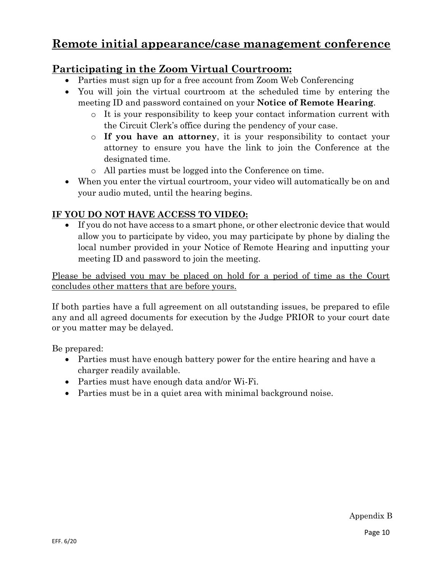# **Remote initial appearance/case management conference**

# **Participating in the Zoom Virtual Courtroom:**

- Parties must sign up for a free account from Zoom Web Conferencing
- You will join the virtual courtroom at the scheduled time by entering the meeting ID and password contained on your **Notice of Remote Hearing**.
	- o It is your responsibility to keep your contact information current with the Circuit Clerk's office during the pendency of your case.
	- o **If you have an attorney**, it is your responsibility to contact your attorney to ensure you have the link to join the Conference at the designated time.
	- o All parties must be logged into the Conference on time.
- When you enter the virtual courtroom, your video will automatically be on and your audio muted, until the hearing begins.

# **IF YOU DO NOT HAVE ACCESS TO VIDEO:**

• If you do not have access to a smart phone, or other electronic device that would allow you to participate by video, you may participate by phone by dialing the local number provided in your Notice of Remote Hearing and inputting your meeting ID and password to join the meeting.

Please be advised you may be placed on hold for a period of time as the Court concludes other matters that are before yours.

If both parties have a full agreement on all outstanding issues, be prepared to efile any and all agreed documents for execution by the Judge PRIOR to your court date or you matter may be delayed.

Be prepared:

- Parties must have enough battery power for the entire hearing and have a charger readily available.
- Parties must have enough data and/or Wi-Fi.
- Parties must be in a quiet area with minimal background noise.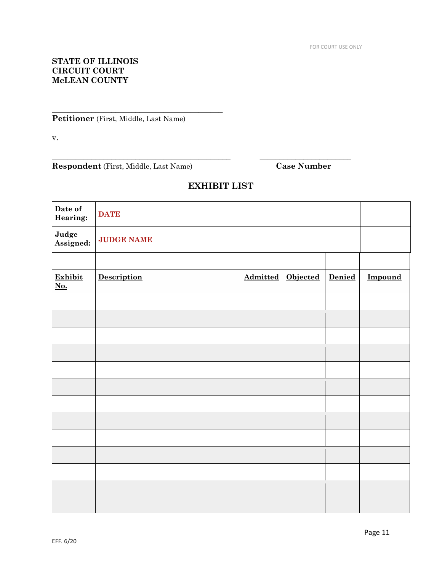Page 11

#### **STATE OF ILLINOIS CIRCUIT COURT McLEAN COUNTY**

**Petitioner** (First, Middle, Last Name)

\_\_\_\_\_\_\_\_\_\_\_\_\_\_\_\_\_\_\_\_\_\_\_\_\_\_\_\_\_\_\_\_\_\_\_\_\_\_\_\_\_\_\_

v.

**Respondent** (First, Middle, Last Name) **Case Number**

**EXHIBIT LIST**

\_\_\_\_\_\_\_\_\_\_\_\_\_\_\_\_\_\_\_\_\_\_\_\_\_\_\_\_\_\_\_\_\_\_\_\_\_\_\_\_\_\_\_\_\_ \_\_\_\_\_\_\_\_\_\_\_\_\_\_\_\_\_\_\_\_\_\_\_

| <b>DATE</b>       |  |                 |                 |         |
|-------------------|--|-----------------|-----------------|---------|
| <b>JUDGE NAME</b> |  |                 |                 |         |
|                   |  |                 |                 |         |
| Description       |  | <b>Objected</b> | Denied          | Impound |
|                   |  |                 |                 |         |
|                   |  |                 |                 |         |
|                   |  |                 |                 |         |
|                   |  |                 |                 |         |
|                   |  |                 |                 |         |
|                   |  |                 |                 |         |
|                   |  |                 |                 |         |
|                   |  |                 |                 |         |
|                   |  |                 |                 |         |
|                   |  |                 |                 |         |
|                   |  |                 |                 |         |
|                   |  |                 |                 |         |
|                   |  |                 | <b>Admitted</b> |         |

FOR COURT USE ONLY

FILE STAMP HERE